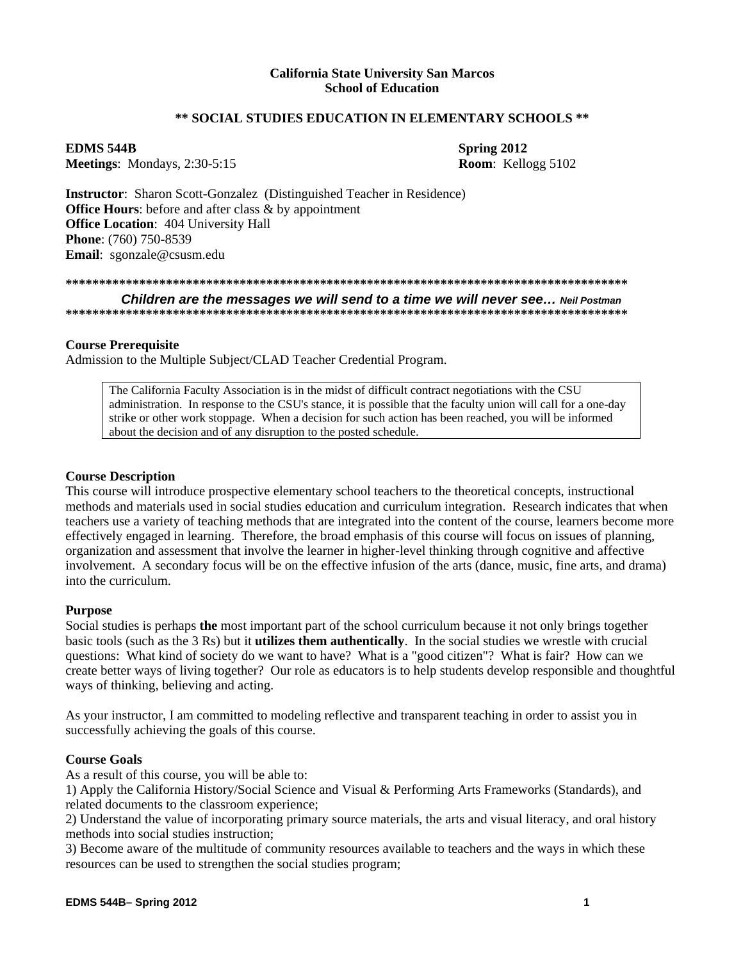# **California State University San Marcos School of Education**

### **\*\* SOCIAL STUDIES EDUCATION IN ELEMENTARY SCHOOLS \*\***

**EDMS 544B** Spring 2012 **Meetings**: Mondays, 2:30-5:15 **Room**: Kellogg 5102

**Instructor**: Sharon Scott-Gonzalez (Distinguished Teacher in Residence) **Office Hours:** before and after class & by appointment **Office Location**: 404 University Hall **Phone**: (760) 750-8539 **Email**: sgonzale@csusm.edu

**\*\*\*\*\*\*\*\*\*\*\*\*\*\*\*\*\*\*\*\*\*\*\*\*\*\*\*\*\*\*\*\*\*\*\*\*\*\*\*\*\*\*\*\*\*\*\*\*\*\*\*\*\*\*\*\*\*\*\*\*\*\*\*\*\*\*\*\*\*\*\*\*\*\*\*\*\*\*\*\*\*\*\*\*** 

*Children are the messages we will send to a time we will never see… Neil Postman* 

**\*\*\*\*\*\*\*\*\*\*\*\*\*\*\*\*\*\*\*\*\*\*\*\*\*\*\*\*\*\*\*\*\*\*\*\*\*\*\*\*\*\*\*\*\*\*\*\*\*\*\*\*\*\*\*\*\*\*\*\*\*\*\*\*\*\*\*\*\*\*\*\*\*\*\*\*\*\*\*\*\*\*\*\*** 

#### **Course Prerequisite**

Admission to the Multiple Subject/CLAD Teacher Credential Program.

The California Faculty Association is in the midst of difficult contract negotiations with the CSU administration. In response to the CSU's stance, it is possible that the faculty union will call for a one-day strike or other work stoppage. When a decision for such action has been reached, you will be informed about the decision and of any disruption to the posted schedule.

#### **Course Description**

This course will introduce prospective elementary school teachers to the theoretical concepts, instructional methods and materials used in social studies education and curriculum integration. Research indicates that when teachers use a variety of teaching methods that are integrated into the content of the course, learners become more effectively engaged in learning. Therefore, the broad emphasis of this course will focus on issues of planning, organization and assessment that involve the learner in higher-level thinking through cognitive and affective involvement. A secondary focus will be on the effective infusion of the arts (dance, music, fine arts, and drama) into the curriculum.

#### **Purpose**

Social studies is perhaps **the** most important part of the school curriculum because it not only brings together basic tools (such as the 3 Rs) but it **utilizes them authentically**. In the social studies we wrestle with crucial questions: What kind of society do we want to have? What is a "good citizen"? What is fair? How can we create better ways of living together? Our role as educators is to help students develop responsible and thoughtful ways of thinking, believing and acting.

As your instructor, I am committed to modeling reflective and transparent teaching in order to assist you in successfully achieving the goals of this course.

# **Course Goals**

As a result of this course, you will be able to:

1) Apply the California History/Social Science and Visual & Performing Arts Frameworks (Standards), and related documents to the classroom experience;

2) Understand the value of incorporating primary source materials, the arts and visual literacy, and oral history methods into social studies instruction;

3) Become aware of the multitude of community resources available to teachers and the ways in which these resources can be used to strengthen the social studies program;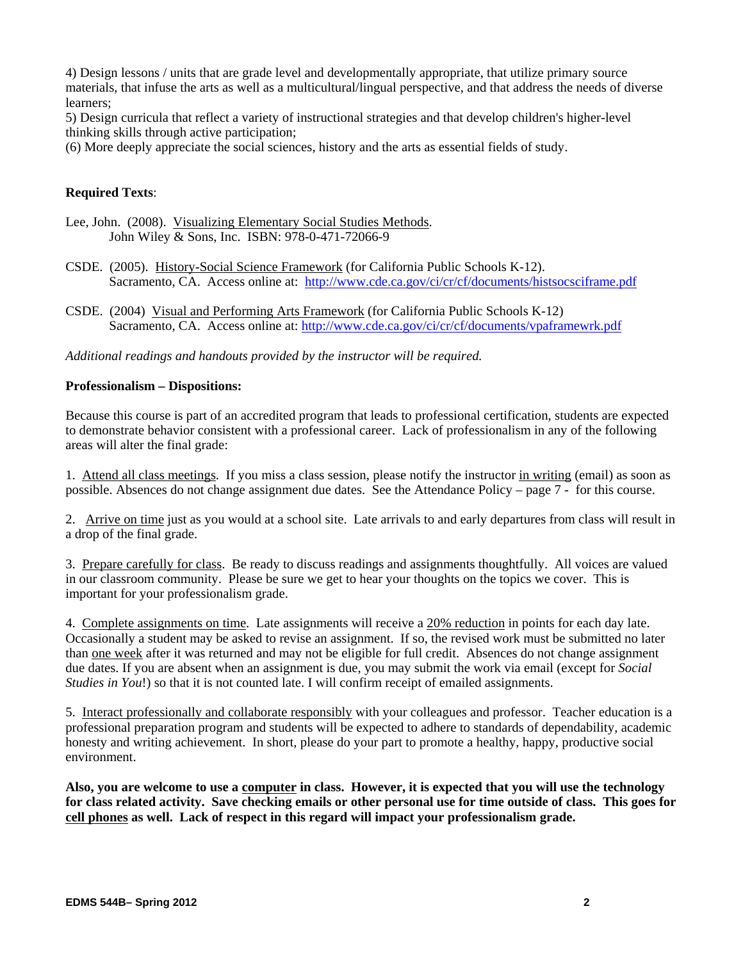4) Design lessons / units that are grade level and developmentally appropriate, that utilize primary source materials, that infuse the arts as well as a multicultural/lingual perspective, and that address the needs of diverse learners;

5) Design curricula that reflect a variety of instructional strategies and that develop children's higher-level thinking skills through active participation;

(6) More deeply appreciate the social sciences, history and the arts as essential fields of study.

# **Required Texts**:

- Lee, John. (2008). Visualizing Elementary Social Studies Methods. John Wiley & Sons, Inc. ISBN: 978-0-471-72066-9
- CSDE. (2005). History-Social Science Framework (for California Public Schools K-12). Sacramento, CA. Access online at: http://www.cde.ca.gov/ci/cr/cf/documents/histsocsciframe.pdf
- CSDE. (2004) Visual and Performing Arts Framework (for California Public Schools K-12) Sacramento, CA. Access online at: http://www.cde.ca.gov/ci/cr/cf/documents/vpaframewrk.pdf

*Additional readings and handouts provided by the instructor will be required.* 

### **Professionalism – Dispositions:**

Because this course is part of an accredited program that leads to professional certification, students are expected to demonstrate behavior consistent with a professional career. Lack of professionalism in any of the following areas will alter the final grade:

1. Attend all class meetings. If you miss a class session, please notify the instructor in writing (email) as soon as possible. Absences do not change assignment due dates. See the Attendance Policy – page 7 - for this course.

2. Arrive on time just as you would at a school site. Late arrivals to and early departures from class will result in a drop of the final grade.

3. Prepare carefully for class. Be ready to discuss readings and assignments thoughtfully. All voices are valued in our classroom community. Please be sure we get to hear your thoughts on the topics we cover. This is important for your professionalism grade.

4. Complete assignments on time. Late assignments will receive a 20% reduction in points for each day late. Occasionally a student may be asked to revise an assignment. If so, the revised work must be submitted no later than one week after it was returned and may not be eligible for full credit. Absences do not change assignment due dates. If you are absent when an assignment is due, you may submit the work via email (except for *Social Studies in You*!) so that it is not counted late. I will confirm receipt of emailed assignments.

5. Interact professionally and collaborate responsibly with your colleagues and professor. Teacher education is a professional preparation program and students will be expected to adhere to standards of dependability, academic honesty and writing achievement. In short, please do your part to promote a healthy, happy, productive social environment.

**Also, you are welcome to use a computer in class. However, it is expected that you will use the technology for class related activity. Save checking emails or other personal use for time outside of class. This goes for cell phones as well. Lack of respect in this regard will impact your professionalism grade.**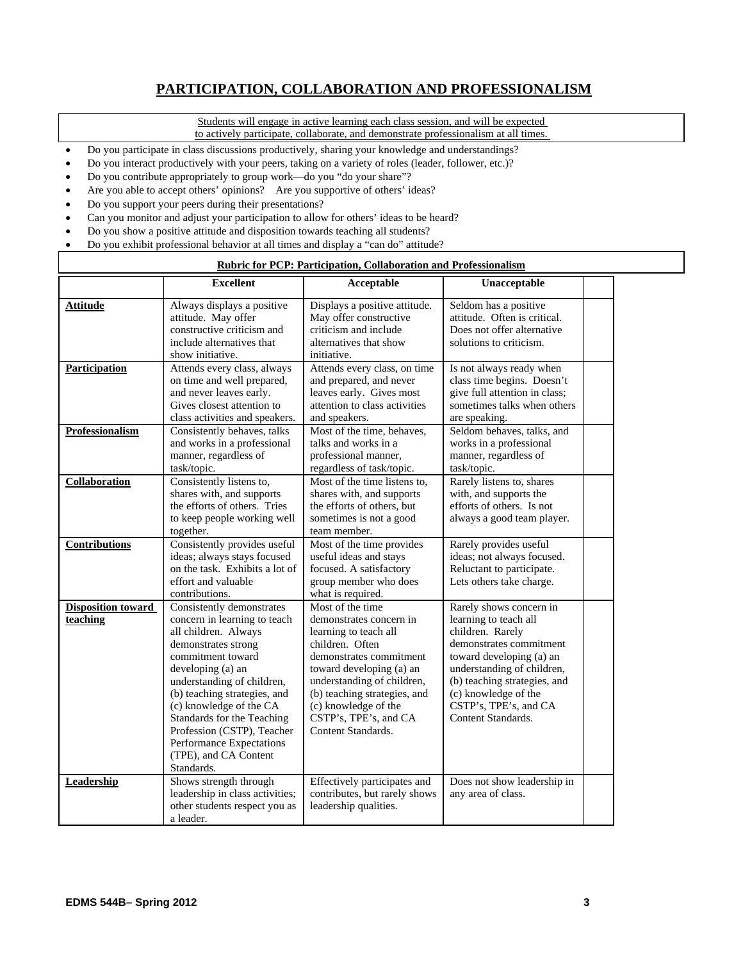# **PARTICIPATION, COLLABORATION AND PROFESSIONALISM**

Students will engage in active learning each class session, and will be expected to actively participate, collaborate, and demonstrate professionalism at all times.

- 
- Do you participate in class discussions productively, sharing your knowledge and understandings? Do you interact productively with your peers, taking on a variety of roles (leader, follower, etc.)?
- Do you contribute appropriately to group work—do you "do your share"?
- Are you able to accept others' opinions? Are you supportive of others' ideas?
- Do you support your peers during their presentations?
- Can you monitor and adjust your participation to allow for others' ideas to be heard?
- Do you show a positive attitude and disposition towards teaching all students?
- Do you exhibit professional behavior at all times and display a "can do" attitude?

#### **Rubric for PCP: Participation, Collaboration and Professionalism**

|                                       | <b>Excellent</b>                                                                                                                                                                                                                                                                                                                                                           | Acceptable                                                                                                                                                                                                                                                                          | Unacceptable                                                                                                                                                                                                                                                     |  |
|---------------------------------------|----------------------------------------------------------------------------------------------------------------------------------------------------------------------------------------------------------------------------------------------------------------------------------------------------------------------------------------------------------------------------|-------------------------------------------------------------------------------------------------------------------------------------------------------------------------------------------------------------------------------------------------------------------------------------|------------------------------------------------------------------------------------------------------------------------------------------------------------------------------------------------------------------------------------------------------------------|--|
| <b>Attitude</b>                       | Always displays a positive<br>attitude. May offer<br>constructive criticism and<br>include alternatives that<br>show initiative.                                                                                                                                                                                                                                           | Displays a positive attitude.<br>May offer constructive<br>criticism and include<br>alternatives that show<br>initiative.                                                                                                                                                           | Seldom has a positive<br>attitude. Often is critical.<br>Does not offer alternative<br>solutions to criticism.                                                                                                                                                   |  |
| Participation                         | Attends every class, always<br>on time and well prepared,<br>and never leaves early.<br>Gives closest attention to<br>class activities and speakers.                                                                                                                                                                                                                       | Attends every class, on time<br>and prepared, and never<br>leaves early. Gives most<br>attention to class activities<br>and speakers.                                                                                                                                               | Is not always ready when<br>class time begins. Doesn't<br>give full attention in class;<br>sometimes talks when others<br>are speaking.                                                                                                                          |  |
| Professionalism                       | Consistently behaves, talks<br>and works in a professional<br>manner, regardless of<br>task/topic.                                                                                                                                                                                                                                                                         | Most of the time, behaves,<br>talks and works in a<br>professional manner.<br>regardless of task/topic.                                                                                                                                                                             | Seldom behaves, talks, and<br>works in a professional<br>manner, regardless of<br>task/topic.                                                                                                                                                                    |  |
| Collaboration                         | Consistently listens to,<br>shares with, and supports<br>the efforts of others. Tries<br>to keep people working well<br>together.                                                                                                                                                                                                                                          | Most of the time listens to.<br>shares with, and supports<br>the efforts of others, but<br>sometimes is not a good<br>team member.                                                                                                                                                  | Rarely listens to, shares<br>with, and supports the<br>efforts of others. Is not<br>always a good team player.                                                                                                                                                   |  |
| <b>Contributions</b>                  | Consistently provides useful<br>ideas; always stays focused<br>on the task. Exhibits a lot of<br>effort and valuable<br>contributions.                                                                                                                                                                                                                                     | Most of the time provides<br>useful ideas and stays<br>focused. A satisfactory<br>group member who does<br>what is required.                                                                                                                                                        | Rarely provides useful<br>ideas; not always focused.<br>Reluctant to participate.<br>Lets others take charge.                                                                                                                                                    |  |
| <b>Disposition toward</b><br>teaching | Consistently demonstrates<br>concern in learning to teach<br>all children. Always<br>demonstrates strong<br>commitment toward<br>developing (a) an<br>understanding of children,<br>(b) teaching strategies, and<br>(c) knowledge of the CA<br>Standards for the Teaching<br>Profession (CSTP), Teacher<br>Performance Expectations<br>(TPE), and CA Content<br>Standards. | Most of the time<br>demonstrates concern in<br>learning to teach all<br>children. Often<br>demonstrates commitment<br>toward developing (a) an<br>understanding of children,<br>(b) teaching strategies, and<br>(c) knowledge of the<br>CSTP's, TPE's, and CA<br>Content Standards. | Rarely shows concern in<br>learning to teach all<br>children. Rarely<br>demonstrates commitment<br>toward developing (a) an<br>understanding of children,<br>(b) teaching strategies, and<br>(c) knowledge of the<br>CSTP's, TPE's, and CA<br>Content Standards. |  |
| Leadership                            | Shows strength through<br>leadership in class activities;<br>other students respect you as<br>a leader.                                                                                                                                                                                                                                                                    | Effectively participates and<br>contributes, but rarely shows<br>leadership qualities.                                                                                                                                                                                              | Does not show leadership in<br>any area of class.                                                                                                                                                                                                                |  |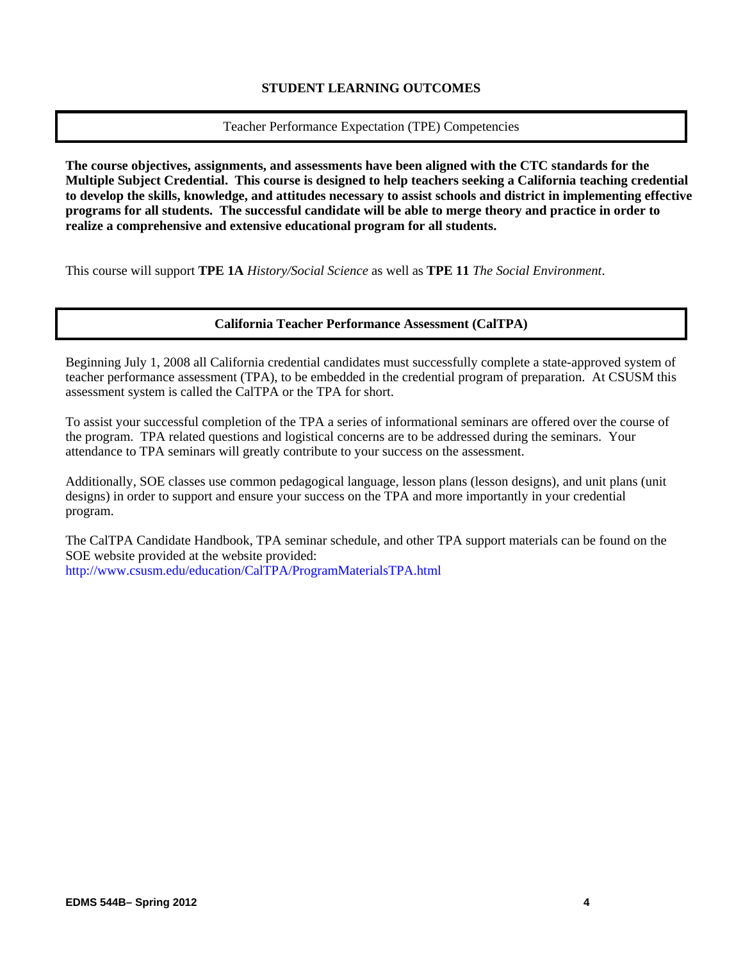# Teacher Performance Expectation (TPE) Competencies

**The course objectives, assignments, and assessments have been aligned with the CTC standards for the Multiple Subject Credential. This course is designed to help teachers seeking a California teaching credential to develop the skills, knowledge, and attitudes necessary to assist schools and district in implementing effective programs for all students. The successful candidate will be able to merge theory and practice in order to realize a comprehensive and extensive educational program for all students.** 

This course will support **TPE 1A** *History/Social Science* as well as **TPE 11** *The Social Environment*.

# **California Teacher Performance Assessment (CalTPA)**

Beginning July 1, 2008 all California credential candidates must successfully complete a state-approved system of teacher performance assessment (TPA), to be embedded in the credential program of preparation. At CSUSM this assessment system is called the CalTPA or the TPA for short.

To assist your successful completion of the TPA a series of informational seminars are offered over the course of the program. TPA related questions and logistical concerns are to be addressed during the seminars. Your attendance to TPA seminars will greatly contribute to your success on the assessment.

Additionally, SOE classes use common pedagogical language, lesson plans (lesson designs), and unit plans (unit designs) in order to support and ensure your success on the TPA and more importantly in your credential program.

The CalTPA Candidate Handbook, TPA seminar schedule, and other TPA support materials can be found on the SOE website provided at the website provided: http://www.csusm.edu/education/CalTPA/ProgramMaterialsTPA.html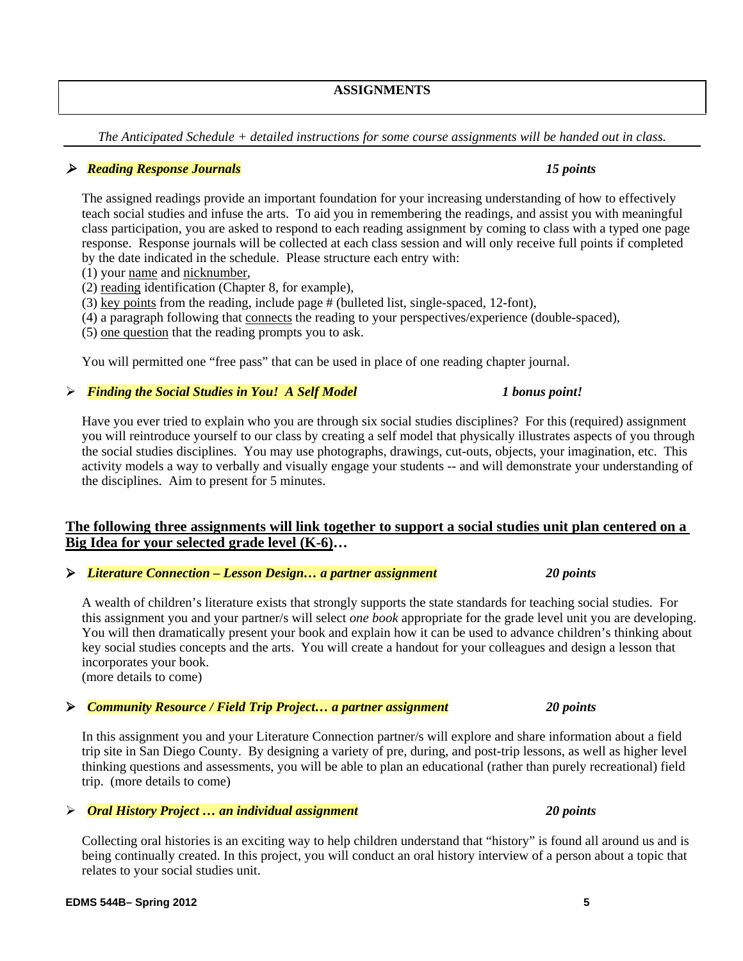### **ASSIGNMENTS**

*The Anticipated Schedule + detailed instructions for some course assignments will be handed out in class.* 

# *Reading Response Journals 15 points*

The assigned readings provide an important foundation for your increasing understanding of how to effectively teach social studies and infuse the arts. To aid you in remembering the readings, and assist you with meaningful class participation, you are asked to respond to each reading assignment by coming to class with a typed one page response. Response journals will be collected at each class session and will only receive full points if completed by the date indicated in the schedule. Please structure each entry with:

- (1) your name and nicknumber,
- (2) reading identification (Chapter 8, for example),
- (3) key points from the reading, include page  $\#$  (bulleted list, single-spaced, 12-font),
- (4) a paragraph following that connects the reading to your perspectives/experience (double-spaced),

(5) one question that the reading prompts you to ask.

You will permitted one "free pass" that can be used in place of one reading chapter journal.

# *Finding the Social Studies in You! A Self Model 1 bonus point!*

Have you ever tried to explain who you are through six social studies disciplines? For this (required) assignment you will reintroduce yourself to our class by creating a self model that physically illustrates aspects of you through the social studies disciplines. You may use photographs, drawings, cut-outs, objects, your imagination, etc. This activity models a way to verbally and visually engage your students -- and will demonstrate your understanding of the disciplines. Aim to present for 5 minutes.

# **The following three assignments will link together to support a social studies unit plan centered on a Big Idea for your selected grade level (K-6)…**

*Literature Connection – Lesson Design… a partner assignment 20 points* 

A wealth of children's literature exists that strongly supports the state standards for teaching social studies. For this assignment you and your partner/s will select *one book* appropriate for the grade level unit you are developing. You will then dramatically present your book and explain how it can be used to advance children's thinking about key social studies concepts and the arts. You will create a handout for your colleagues and design a lesson that incorporates your book. (more details to come)

# *Community Resource / Field Trip Project… a partner assignment 20 points*

In this assignment you and your Literature Connection partner/s will explore and share information about a field trip site in San Diego County. By designing a variety of pre, during, and post-trip lessons, as well as higher level thinking questions and assessments, you will be able to plan an educational (rather than purely recreational) field trip. (more details to come)

### *Oral History Project … an individual assignment 20 points*

Collecting oral histories is an exciting way to help children understand that "history" is found all around us and is being continually created. In this project, you will conduct an oral history interview of a person about a topic that relates to your social studies unit.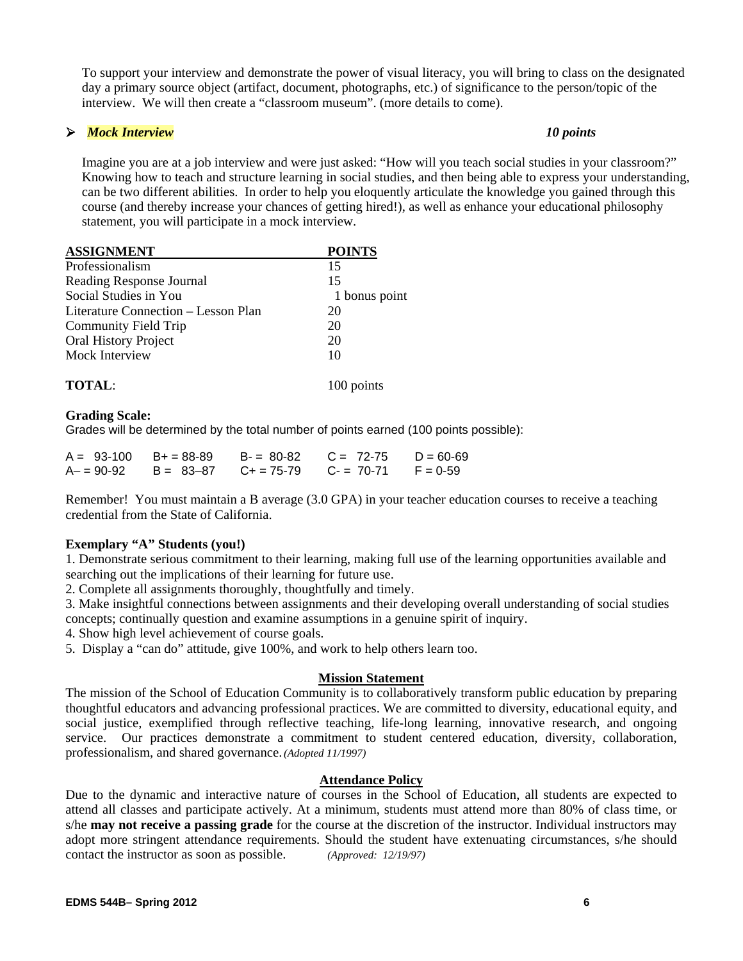To support your interview and demonstrate the power of visual literacy, you will bring to class on the designated day a primary source object (artifact, document, photographs, etc.) of significance to the person/topic of the interview. We will then create a "classroom museum". (more details to come).

# *Mock Interview 10 points*

Imagine you are at a job interview and were just asked: "How will you teach social studies in your classroom?" Knowing how to teach and structure learning in social studies, and then being able to express your understanding, can be two different abilities. In order to help you eloquently articulate the knowledge you gained through this course (and thereby increase your chances of getting hired!), as well as enhance your educational philosophy statement, you will participate in a mock interview.

| <b>ASSIGNMENT</b>                   | <b>POINTS</b> |
|-------------------------------------|---------------|
| Professionalism                     | 15            |
| Reading Response Journal            | 15            |
| Social Studies in You               | 1 bonus point |
| Literature Connection – Lesson Plan | 20            |
| <b>Community Field Trip</b>         | 20            |
| Oral History Project                | 20            |
| Mock Interview                      | 10            |
| <b>TOTAL:</b>                       | 100 points    |

### **Grading Scale:**

Grades will be determined by the total number of points earned (100 points possible):

|  | $A = 93-100$ B+ = 88-89 B- = 80-82 C = 72-75 D = 60-69 |  |
|--|--------------------------------------------------------|--|
|  | $A = 90-92$ B = 83-87 C + = 75-79 C - = 70-71 F = 0-59 |  |

Remember! You must maintain a B average (3.0 GPA) in your teacher education courses to receive a teaching credential from the State of California.

# **Exemplary "A" Students (you!)**

1. Demonstrate serious commitment to their learning, making full use of the learning opportunities available and searching out the implications of their learning for future use.

2. Complete all assignments thoroughly, thoughtfully and timely.

3. Make insightful connections between assignments and their developing overall understanding of social studies concepts; continually question and examine assumptions in a genuine spirit of inquiry.

4. Show high level achievement of course goals.

5. Display a "can do" attitude, give 100%, and work to help others learn too.

### **Mission Statement**

The mission of the School of Education Community is to collaboratively transform public education by preparing thoughtful educators and advancing professional practices. We are committed to diversity, educational equity, and social justice, exemplified through reflective teaching, life-long learning, innovative research, and ongoing service. Our practices demonstrate a commitment to student centered education, diversity, collaboration, professionalism, and shared governance. *(Adopted 11/1997)* 

### **Attendance Policy**

Due to the dynamic and interactive nature of courses in the School of Education, all students are expected to attend all classes and participate actively. At a minimum, students must attend more than 80% of class time, or s/he **may not receive a passing grade** for the course at the discretion of the instructor. Individual instructors may adopt more stringent attendance requirements. Should the student have extenuating circumstances, s/he should contact the instructor as soon as possible. *(Approved: 12/19/97)*